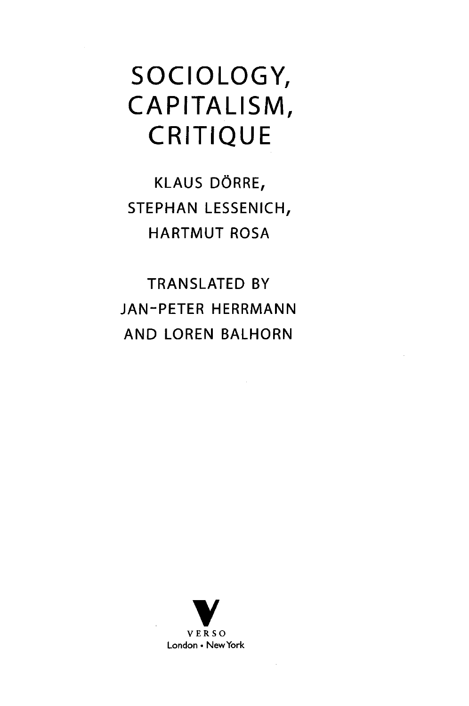## SOCIOLOGY, CAPITALISM, CRITIQUE

KLAUS DÖRRE, STEPHAN LESSENICH, HARTMUT ROSA

TRANSLATED BY JAN-PETER HERRMANN AND LOREN BALHORN

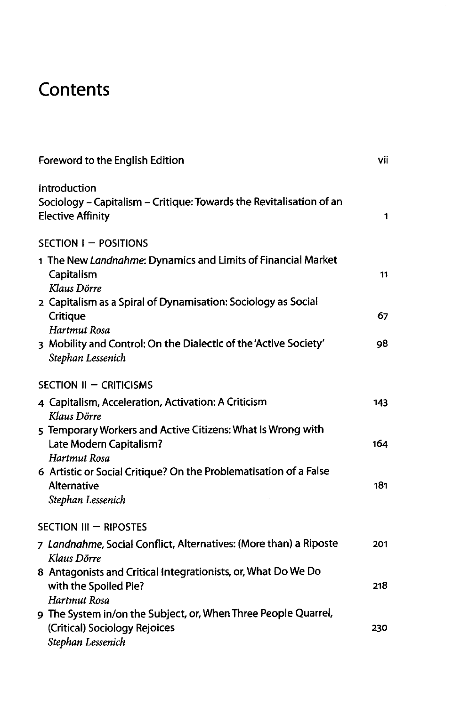## **Contents**

| Foreword to the English Edition                                                                                      | vii |
|----------------------------------------------------------------------------------------------------------------------|-----|
| Introduction<br>Sociology - Capitalism - Critique: Towards the Revitalisation of an<br><b>Elective Affinity</b>      | 1   |
| SECTION I - POSITIONS                                                                                                |     |
| 1 The New Landnahme: Dynamics and Limits of Financial Market<br>Capitalism<br>Klaus Dörre                            | 11  |
| 2 Capitalism as a Spiral of Dynamisation: Sociology as Social<br>Critique<br>Hartmut Rosa                            | 67  |
| 3 Mobility and Control: On the Dialectic of the 'Active Society'<br>Stephan Lessenich                                | 98  |
| SECTION II - CRITICISMS                                                                                              |     |
| 4 Capitalism, Acceleration, Activation: A Criticism<br>Klaus Dörre                                                   | 143 |
| 5 Temporary Workers and Active Citizens: What Is Wrong with<br>Late Modern Capitalism?<br>Hartmut Rosa               | 164 |
| 6 Artistic or Social Critique? On the Problematisation of a False<br>Alternative<br>Stephan Lessenich                | 181 |
| SECTION III - RIPOSTES                                                                                               |     |
| 7 Landnahme, Social Conflict, Alternatives: (More than) a Riposte<br>Klaus Dörre                                     | 201 |
| 8 Antagonists and Critical Integrationists, or, What Do We Do<br>with the Spoiled Pie?<br>Hartmut Rosa               | 218 |
| 9 The System in/on the Subject, or, When Three People Quarrel,<br>(Critical) Sociology Rejoices<br>Stephan Lessenich | 230 |